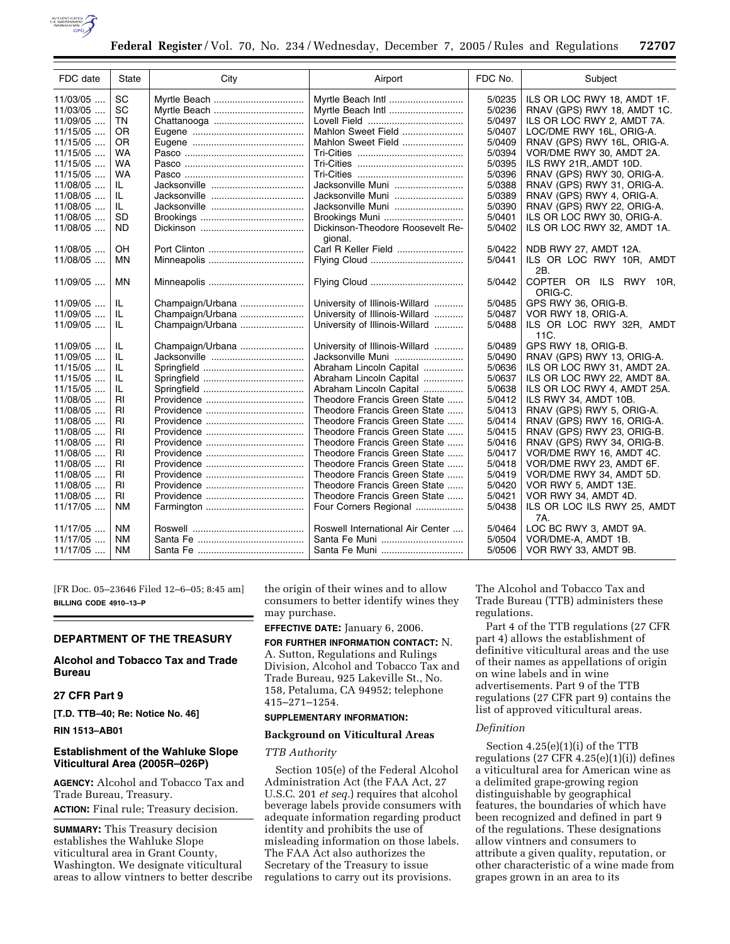

| FDC date   | <b>State</b> | City             | Airport                                     | FDC No. | Subject                                         |
|------------|--------------|------------------|---------------------------------------------|---------|-------------------------------------------------|
| 11/03/05   | SC           |                  | Myrtle Beach Intl                           | 5/0235  | ILS OR LOC RWY 18, AMDT 1F.                     |
| $11/03/05$ | SC           |                  | Myrtle Beach Intl                           | 5/0236  | RNAV (GPS) RWY 18, AMDT 1C.                     |
| 11/09/05   | <b>TN</b>    |                  |                                             | 5/0497  | ILS OR LOC RWY 2, AMDT 7A.                      |
| $11/15/05$ | 0R           |                  | Mahlon Sweet Field                          | 5/0407  | LOC/DME RWY 16L, ORIG-A.                        |
| $11/15/05$ | 0R           |                  | Mahlon Sweet Field                          | 5/0409  | RNAV (GPS) RWY 16L, ORIG-A.                     |
| $11/15/05$ | WA           |                  |                                             | 5/0394  | VOR/DME RWY 30, AMDT 2A.                        |
| $11/15/05$ | WA           |                  |                                             | 5/0395  | ILS RWY 21R, AMDT 10D.                          |
| $11/15/05$ | WA           |                  |                                             | 5/0396  | RNAV (GPS) RWY 30, ORIG-A.                      |
| 11/08/05   | IL.          |                  | Jacksonville Muni                           | 5/0388  | RNAV (GPS) RWY 31, ORIG-A.                      |
| $11/08/05$ | IL           |                  | Jacksonville Muni                           | 5/0389  | RNAV (GPS) RWY 4, ORIG-A.                       |
| 11/08/05   | IL.          |                  | Jacksonville Muni                           | 5/0390  | RNAV (GPS) RWY 22, ORIG-A.                      |
| 11/08/05   | SD           |                  | Brookings Muni                              | 5/0401  | ILS OR LOC RWY 30, ORIG-A.                      |
| 11/08/05   | ND.          |                  | Dickinson-Theodore Roosevelt Re-<br>gional. | 5/0402  | ILS OR LOC RWY 32, AMDT 1A.                     |
| 11/08/05   | OΗ           |                  |                                             | 5/0422  | NDB RWY 27, AMDT 12A.                           |
| $11/08/05$ | ΜN           |                  |                                             | 5/0441  | ILS OR LOC RWY 10R, AMDT<br>2B.                 |
| 11/09/05   | ΜN           |                  |                                             | 5/0442  | COPTER OR ILS RWY<br>10 <sub>R</sub><br>ORIG-C. |
| 11/09/05   | IL           | Champaign/Urbana | University of Illinois-Willard              | 5/0485  | GPS RWY 36, ORIG-B.                             |
| $11/09/05$ | IL           | Champaign/Urbana | University of Illinois-Willard              | 5/0487  | VOR RWY 18, ORIG-A.                             |
| 11/09/05   | IL           | Champaign/Urbana | University of Illinois-Willard              | 5/0488  | ILS OR LOC RWY 32R, AMDT<br>11C.                |
| 11/09/05   | IL           | Champaign/Urbana | University of Illinois-Willard              | 5/0489  | GPS RWY 18, ORIG-B.                             |
| 11/09/05   | IL           |                  | Jacksonville Muni                           | 5/0490  | RNAV (GPS) RWY 13, ORIG-A.                      |
| $11/15/05$ | IL.          |                  | Abraham Lincoln Capital                     | 5/0636  | ILS OR LOC RWY 31, AMDT 2A.                     |
| $11/15/05$ | IL           |                  | Abraham Lincoln Capital                     | 5/0637  | ILS OR LOC RWY 22, AMDT 8A.                     |
| $11/15/05$ | IL           |                  | Abraham Lincoln Capital                     | 5/0638  | ILS OR LOC RWY 4, AMDT 25A.                     |
| 11/08/05   | RI           |                  | Theodore Francis Green State                | 5/0412  | ILS RWY 34, AMDT 10B.                           |
| $11/08/05$ | RI           |                  | Theodore Francis Green State                | 5/0413  | RNAV (GPS) RWY 5, ORIG-A.                       |
| $11/08/05$ | RI           |                  | Theodore Francis Green State                | 5/0414  | RNAV (GPS) RWY 16, ORIG-A.                      |
| $11/08/05$ | RI           |                  | Theodore Francis Green State                | 5/0415  | RNAV (GPS) RWY 23, ORIG-B.                      |
| 11/08/05   | RI           |                  | Theodore Francis Green State                | 5/0416  | RNAV (GPS) RWY 34, ORIG-B.                      |
| 11/08/05   | <b>RI</b>    |                  | Theodore Francis Green State                | 5/0417  | VOR/DME RWY 16, AMDT 4C.                        |
| 11/08/05   | RI           |                  | Theodore Francis Green State                | 5/0418  | VOR/DME RWY 23, AMDT 6F.                        |
| 11/08/05   | RI           |                  | Theodore Francis Green State                | 5/0419  | VOR/DME RWY 34, AMDT 5D.                        |
| 11/08/05   | RI           |                  | Theodore Francis Green State                | 5/0420  | VOR RWY 5, AMDT 13E.                            |
| $11/08/05$ | RL           |                  | Theodore Francis Green State                | 5/0421  | VOR RWY 34, AMDT 4D.                            |
| $11/17/05$ |              |                  |                                             | 5/0438  |                                                 |
|            | ΝM           |                  | Four Corners Regional                       |         | ILS OR LOC ILS RWY 25, AMDT<br>7A.              |
| 11/17/05   | <b>NM</b>    |                  | Roswell International Air Center            | 5/0464  | LOC BC RWY 3, AMDT 9A.                          |
| $11/17/05$ | <b>NM</b>    |                  | Santa Fe Muni                               | 5/0504  | VOR/DME-A, AMDT 1B.                             |
| 11/17/05   | <b>NM</b>    |                  | Santa Fe Muni                               | 5/0506  | VOR RWY 33, AMDT 9B.                            |

[FR Doc. 05–23646 Filed 12–6–05; 8:45 am] **BILLING CODE 4910–13–P** 

# **DEPARTMENT OF THE TREASURY**

# **Alcohol and Tobacco Tax and Trade Bureau**

# **27 CFR Part 9**

**[T.D. TTB–40; Re: Notice No. 46]** 

**RIN 1513–AB01** 

# **Establishment of the Wahluke Slope Viticultural Area (2005R–026P)**

**AGENCY:** Alcohol and Tobacco Tax and Trade Bureau, Treasury. **ACTION:** Final rule; Treasury decision.

**SUMMARY:** This Treasury decision establishes the Wahluke Slope viticultural area in Grant County, Washington. We designate viticultural areas to allow vintners to better describe the origin of their wines and to allow consumers to better identify wines they may purchase.

# **EFFECTIVE DATE:** January 6, 2006.

**FOR FURTHER INFORMATION CONTACT:** N. A. Sutton, Regulations and Rulings Division, Alcohol and Tobacco Tax and Trade Bureau, 925 Lakeville St., No. 158, Petaluma, CA 94952; telephone 415–271–1254.

## **SUPPLEMENTARY INFORMATION:**

## **Background on Viticultural Areas**

## *TTB Authority*

Section 105(e) of the Federal Alcohol Administration Act (the FAA Act, 27 U.S.C. 201 *et seq.*) requires that alcohol beverage labels provide consumers with adequate information regarding product identity and prohibits the use of misleading information on those labels. The FAA Act also authorizes the Secretary of the Treasury to issue regulations to carry out its provisions.

The Alcohol and Tobacco Tax and Trade Bureau (TTB) administers these regulations.

Part 4 of the TTB regulations (27 CFR part 4) allows the establishment of definitive viticultural areas and the use of their names as appellations of origin on wine labels and in wine advertisements. Part 9 of the TTB regulations (27 CFR part 9) contains the list of approved viticultural areas.

## *Definition*

Section 4.25(e)(1)(i) of the TTB regulations  $(27 \text{ CFR } 4.25(e)(1)(i))$  defines a viticultural area for American wine as a delimited grape-growing region distinguishable by geographical features, the boundaries of which have been recognized and defined in part 9 of the regulations. These designations allow vintners and consumers to attribute a given quality, reputation, or other characteristic of a wine made from grapes grown in an area to its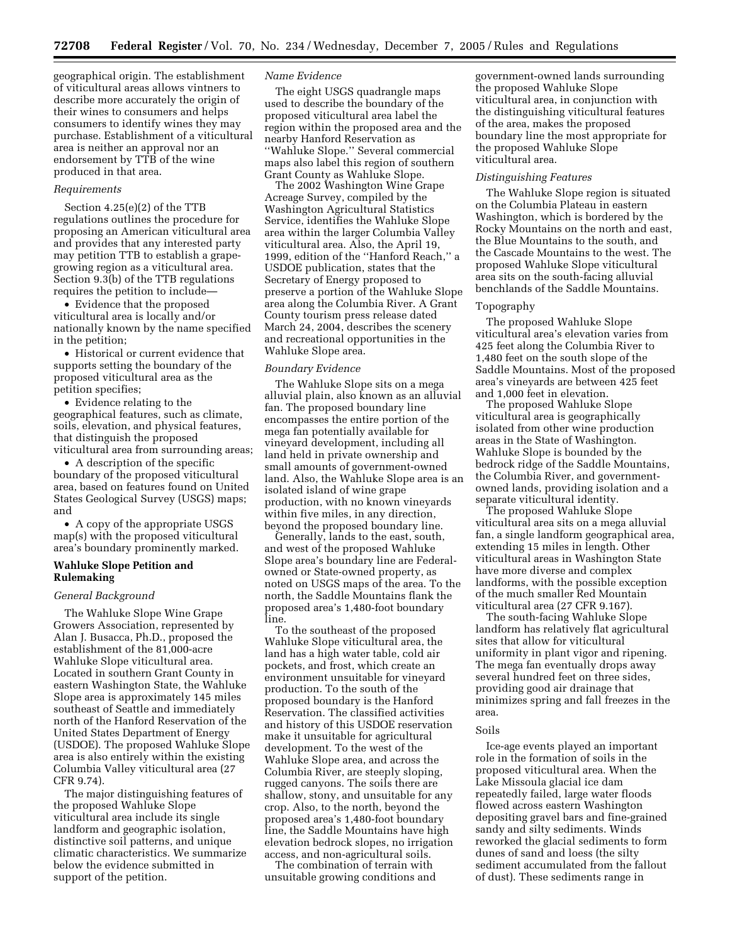geographical origin. The establishment of viticultural areas allows vintners to describe more accurately the origin of their wines to consumers and helps consumers to identify wines they may purchase. Establishment of a viticultural area is neither an approval nor an endorsement by TTB of the wine produced in that area.

## *Requirements*

Section 4.25(e)(2) of the TTB regulations outlines the procedure for proposing an American viticultural area and provides that any interested party may petition TTB to establish a grapegrowing region as a viticultural area. Section 9.3(b) of the TTB regulations requires the petition to include—

• Evidence that the proposed viticultural area is locally and/or nationally known by the name specified in the petition;

• Historical or current evidence that supports setting the boundary of the proposed viticultural area as the petition specifies;

• Evidence relating to the geographical features, such as climate, soils, elevation, and physical features, that distinguish the proposed viticultural area from surrounding areas;

• A description of the specific boundary of the proposed viticultural area, based on features found on United States Geological Survey (USGS) maps; and

• A copy of the appropriate USGS map(s) with the proposed viticultural area's boundary prominently marked.

## **Wahluke Slope Petition and Rulemaking**

## *General Background*

The Wahluke Slope Wine Grape Growers Association, represented by Alan J. Busacca, Ph.D., proposed the establishment of the 81,000-acre Wahluke Slope viticultural area. Located in southern Grant County in eastern Washington State, the Wahluke Slope area is approximately 145 miles southeast of Seattle and immediately north of the Hanford Reservation of the United States Department of Energy (USDOE). The proposed Wahluke Slope area is also entirely within the existing Columbia Valley viticultural area (27 CFR 9.74).

The major distinguishing features of the proposed Wahluke Slope viticultural area include its single landform and geographic isolation, distinctive soil patterns, and unique climatic characteristics. We summarize below the evidence submitted in support of the petition.

## *Name Evidence*

The eight USGS quadrangle maps used to describe the boundary of the proposed viticultural area label the region within the proposed area and the nearby Hanford Reservation as ''Wahluke Slope.'' Several commercial maps also label this region of southern Grant County as Wahluke Slope.

The 2002 Washington Wine Grape Acreage Survey, compiled by the Washington Agricultural Statistics Service, identifies the Wahluke Slope area within the larger Columbia Valley viticultural area. Also, the April 19, 1999, edition of the ''Hanford Reach,'' a USDOE publication, states that the Secretary of Energy proposed to preserve a portion of the Wahluke Slope area along the Columbia River. A Grant County tourism press release dated March 24, 2004, describes the scenery and recreational opportunities in the Wahluke Slope area.

### *Boundary Evidence*

The Wahluke Slope sits on a mega alluvial plain, also known as an alluvial fan. The proposed boundary line encompasses the entire portion of the mega fan potentially available for vineyard development, including all land held in private ownership and small amounts of government-owned land. Also, the Wahluke Slope area is an isolated island of wine grape production, with no known vineyards within five miles, in any direction, beyond the proposed boundary line.

Generally, lands to the east, south, and west of the proposed Wahluke Slope area's boundary line are Federalowned or State-owned property, as noted on USGS maps of the area. To the north, the Saddle Mountains flank the proposed area's 1,480-foot boundary line.

To the southeast of the proposed Wahluke Slope viticultural area, the land has a high water table, cold air pockets, and frost, which create an environment unsuitable for vineyard production. To the south of the proposed boundary is the Hanford Reservation. The classified activities and history of this USDOE reservation make it unsuitable for agricultural development. To the west of the Wahluke Slope area, and across the Columbia River, are steeply sloping, rugged canyons. The soils there are shallow, stony, and unsuitable for any crop. Also, to the north, beyond the proposed area's 1,480-foot boundary line, the Saddle Mountains have high elevation bedrock slopes, no irrigation access, and non-agricultural soils.

The combination of terrain with unsuitable growing conditions and

government-owned lands surrounding the proposed Wahluke Slope viticultural area, in conjunction with the distinguishing viticultural features of the area, makes the proposed boundary line the most appropriate for the proposed Wahluke Slope viticultural area.

#### *Distinguishing Features*

The Wahluke Slope region is situated on the Columbia Plateau in eastern Washington, which is bordered by the Rocky Mountains on the north and east, the Blue Mountains to the south, and the Cascade Mountains to the west. The proposed Wahluke Slope viticultural area sits on the south-facing alluvial benchlands of the Saddle Mountains.

### Topography

The proposed Wahluke Slope viticultural area's elevation varies from 425 feet along the Columbia River to 1,480 feet on the south slope of the Saddle Mountains. Most of the proposed area's vineyards are between 425 feet and 1,000 feet in elevation.

The proposed Wahluke Slope viticultural area is geographically isolated from other wine production areas in the State of Washington. Wahluke Slope is bounded by the bedrock ridge of the Saddle Mountains, the Columbia River, and governmentowned lands, providing isolation and a separate viticultural identity.

The proposed Wahluke Slope viticultural area sits on a mega alluvial fan, a single landform geographical area, extending 15 miles in length. Other viticultural areas in Washington State have more diverse and complex landforms, with the possible exception of the much smaller Red Mountain viticultural area (27 CFR 9.167).

The south-facing Wahluke Slope landform has relatively flat agricultural sites that allow for viticultural uniformity in plant vigor and ripening. The mega fan eventually drops away several hundred feet on three sides, providing good air drainage that minimizes spring and fall freezes in the area.

#### Soils

Ice-age events played an important role in the formation of soils in the proposed viticultural area. When the Lake Missoula glacial ice dam repeatedly failed, large water floods flowed across eastern Washington depositing gravel bars and fine-grained sandy and silty sediments. Winds reworked the glacial sediments to form dunes of sand and loess (the silty sediment accumulated from the fallout of dust). These sediments range in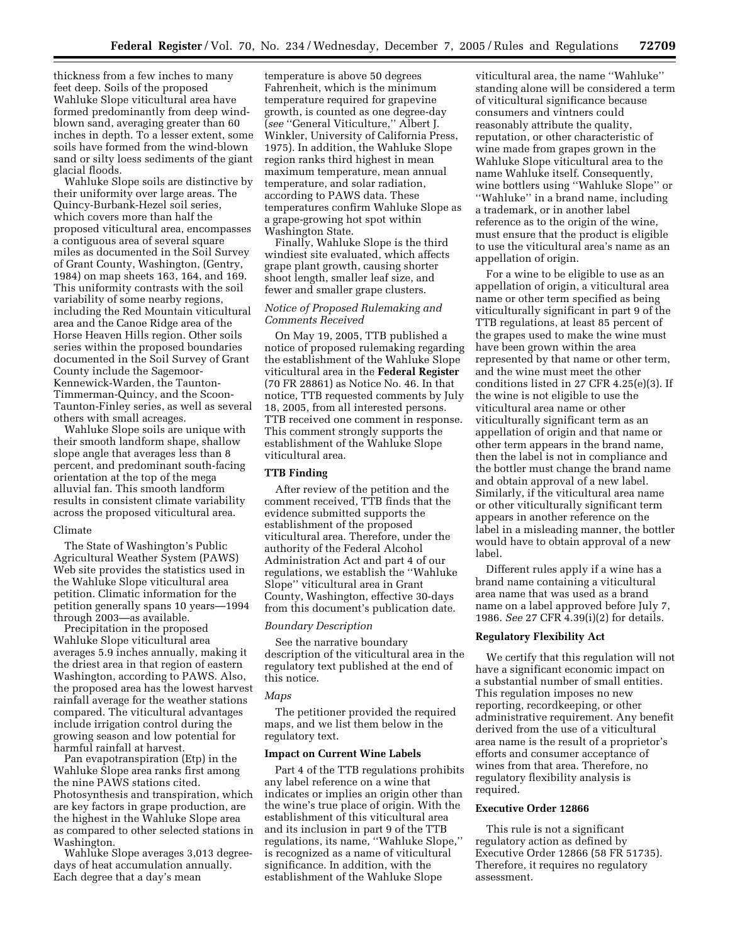thickness from a few inches to many feet deep. Soils of the proposed Wahluke Slope viticultural area have formed predominantly from deep windblown sand, averaging greater than 60 inches in depth. To a lesser extent, some soils have formed from the wind-blown sand or silty loess sediments of the giant glacial floods.

Wahluke Slope soils are distinctive by their uniformity over large areas. The Quincy-Burbank-Hezel soil series, which covers more than half the proposed viticultural area, encompasses a contiguous area of several square miles as documented in the Soil Survey of Grant County, Washington, (Gentry, 1984) on map sheets 163, 164, and 169. This uniformity contrasts with the soil variability of some nearby regions, including the Red Mountain viticultural area and the Canoe Ridge area of the Horse Heaven Hills region. Other soils series within the proposed boundaries documented in the Soil Survey of Grant County include the Sagemoor-Kennewick-Warden, the Taunton-Timmerman-Quincy, and the Scoon-Taunton-Finley series, as well as several others with small acreages.

Wahluke Slope soils are unique with their smooth landform shape, shallow slope angle that averages less than 8 percent, and predominant south-facing orientation at the top of the mega alluvial fan. This smooth landform results in consistent climate variability across the proposed viticultural area.

#### Climate

The State of Washington's Public Agricultural Weather System (PAWS) Web site provides the statistics used in the Wahluke Slope viticultural area petition. Climatic information for the petition generally spans 10 years—1994 through 2003—as available.

Precipitation in the proposed Wahluke Slope viticultural area averages 5.9 inches annually, making it the driest area in that region of eastern Washington, according to PAWS. Also, the proposed area has the lowest harvest rainfall average for the weather stations compared. The viticultural advantages include irrigation control during the growing season and low potential for harmful rainfall at harvest.

Pan evapotranspiration (Etp) in the Wahluke Slope area ranks first among the nine PAWS stations cited. Photosynthesis and transpiration, which are key factors in grape production, are the highest in the Wahluke Slope area as compared to other selected stations in Washington.

Wahluke Slope averages 3,013 degreedays of heat accumulation annually. Each degree that a day's mean

temperature is above 50 degrees Fahrenheit, which is the minimum temperature required for grapevine growth, is counted as one degree-day (*see* ''General Viticulture,'' Albert J. Winkler, University of California Press, 1975). In addition, the Wahluke Slope region ranks third highest in mean maximum temperature, mean annual temperature, and solar radiation, according to PAWS data. These temperatures confirm Wahluke Slope as a grape-growing hot spot within Washington State.

Finally, Wahluke Slope is the third windiest site evaluated, which affects grape plant growth, causing shorter shoot length, smaller leaf size, and fewer and smaller grape clusters.

# *Notice of Proposed Rulemaking and Comments Received*

On May 19, 2005, TTB published a notice of proposed rulemaking regarding the establishment of the Wahluke Slope viticultural area in the **Federal Register**  (70 FR 28861) as Notice No. 46. In that notice, TTB requested comments by July 18, 2005, from all interested persons. TTB received one comment in response. This comment strongly supports the establishment of the Wahluke Slope viticultural area.

# **TTB Finding**

After review of the petition and the comment received, TTB finds that the evidence submitted supports the establishment of the proposed viticultural area. Therefore, under the authority of the Federal Alcohol Administration Act and part 4 of our regulations, we establish the ''Wahluke Slope'' viticultural area in Grant County, Washington, effective 30-days from this document's publication date.

### *Boundary Description*

See the narrative boundary description of the viticultural area in the regulatory text published at the end of this notice.

#### *Maps*

The petitioner provided the required maps, and we list them below in the regulatory text.

### **Impact on Current Wine Labels**

Part 4 of the TTB regulations prohibits any label reference on a wine that indicates or implies an origin other than the wine's true place of origin. With the establishment of this viticultural area and its inclusion in part 9 of the TTB regulations, its name, ''Wahluke Slope,'' is recognized as a name of viticultural significance. In addition, with the establishment of the Wahluke Slope

viticultural area, the name ''Wahluke'' standing alone will be considered a term of viticultural significance because consumers and vintners could reasonably attribute the quality, reputation, or other characteristic of wine made from grapes grown in the Wahluke Slope viticultural area to the name Wahluke itself. Consequently, wine bottlers using ''Wahluke Slope'' or ''Wahluke'' in a brand name, including a trademark, or in another label reference as to the origin of the wine, must ensure that the product is eligible to use the viticultural area's name as an appellation of origin.

For a wine to be eligible to use as an appellation of origin, a viticultural area name or other term specified as being viticulturally significant in part 9 of the TTB regulations, at least 85 percent of the grapes used to make the wine must have been grown within the area represented by that name or other term, and the wine must meet the other conditions listed in 27 CFR 4.25(e)(3). If the wine is not eligible to use the viticultural area name or other viticulturally significant term as an appellation of origin and that name or other term appears in the brand name, then the label is not in compliance and the bottler must change the brand name and obtain approval of a new label. Similarly, if the viticultural area name or other viticulturally significant term appears in another reference on the label in a misleading manner, the bottler would have to obtain approval of a new label.

Different rules apply if a wine has a brand name containing a viticultural area name that was used as a brand name on a label approved before July 7, 1986. *See* 27 CFR 4.39(i)(2) for details.

### **Regulatory Flexibility Act**

We certify that this regulation will not have a significant economic impact on a substantial number of small entities. This regulation imposes no new reporting, recordkeeping, or other administrative requirement. Any benefit derived from the use of a viticultural area name is the result of a proprietor's efforts and consumer acceptance of wines from that area. Therefore, no regulatory flexibility analysis is required.

#### **Executive Order 12866**

This rule is not a significant regulatory action as defined by Executive Order 12866 (58 FR 51735). Therefore, it requires no regulatory assessment.